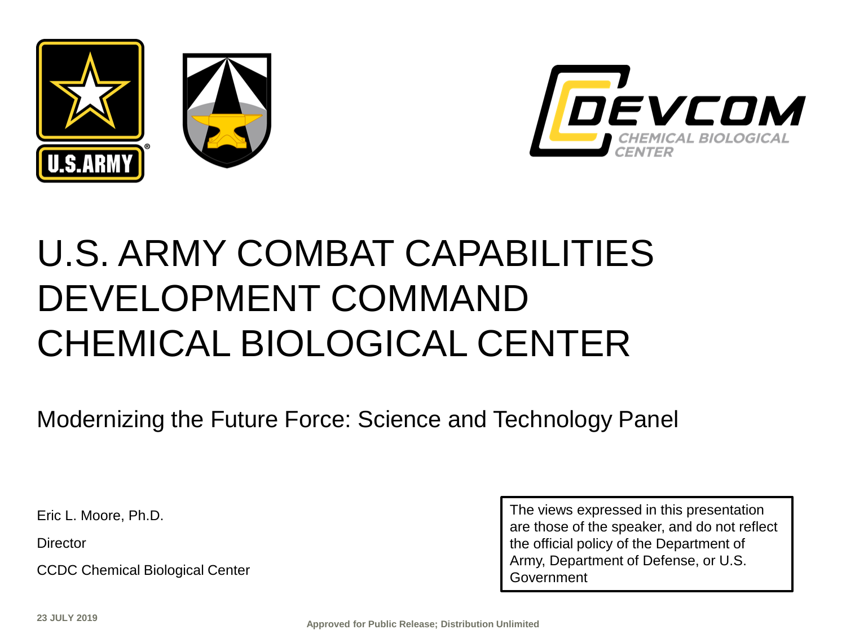



# U.S. ARMY COMBAT CAPABILITIES DEVELOPMENT COMMAND CHEMICAL BIOLOGICAL CENTER

Modernizing the Future Force: Science and Technology Panel

Eric L. Moore, Ph.D.

**Director** 

CCDC Chemical Biological Center

The views expressed in this presentation are those of the speaker, and do not reflect the official policy of the Department of Army, Department of Defense, or U.S. Government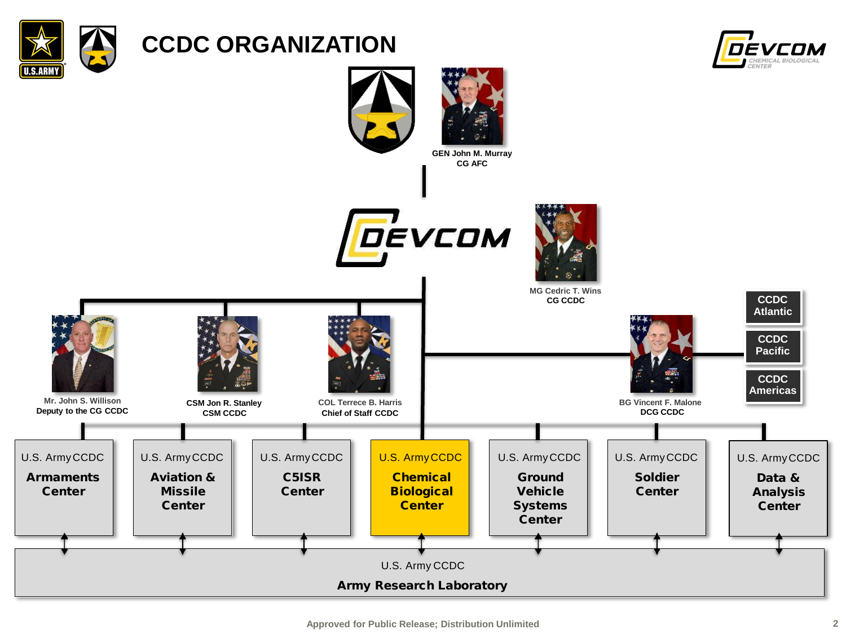

## **CCDC ORGANIZATION**



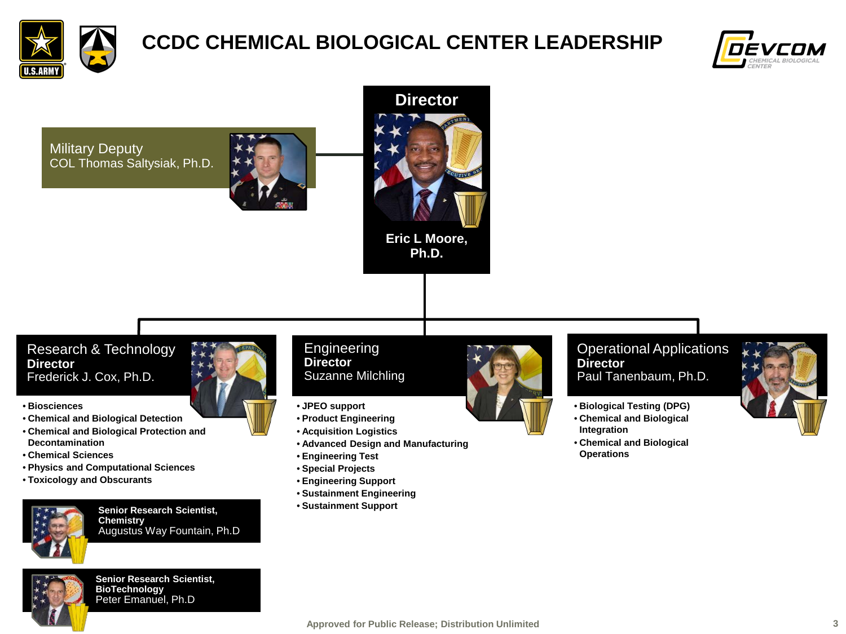

## **CCDC CHEMICAL BIOLOGICAL CENTER LEADERSHIP**



Military Deputy COL Thomas Saltysiak, Ph.D.





#### Research & Technology **Director** Frederick J. Cox, Ph.D.

- **Biosciences**
- **Chemical and Biological Detection**
- **Chemical and Biological Protection and Decontamination**
- **Chemical Sciences**
- **Physics and Computational Sciences**
- **Toxicology and Obscurants**



**Senior Research Scientist, Chemistry** Augustus Way Fountain, Ph.D



**Senior Research Scientist, BioTechnology** Peter Emanuel, Ph.D

#### **Engineering Director** Suzanne Milchling

- **JPEO support**
- **Product Engineering**
- **Acquisition Logistics**
- **Advanced Design and Manufacturing**
- **Engineering Test**
- **Special Projects**
- **Engineering Support**
- **Sustainment Engineering**
- **Sustainment Support**



#### Operational Applications **Director** Paul Tanenbaum, Ph.D.

- **Biological Testing (DPG)**
- **Chemical and Biological Integration**
- **Chemical and Biological Operations**

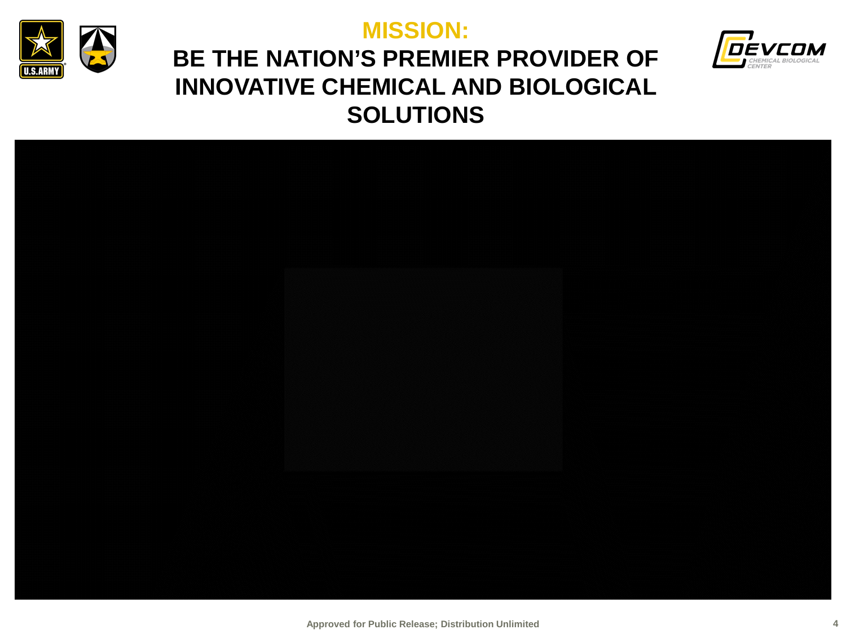

### **MISSION:**



## **BE THE NATION'S PREMIER PROVIDER OF INNOVATIVE CHEMICAL AND BIOLOGICAL SOLUTIONS**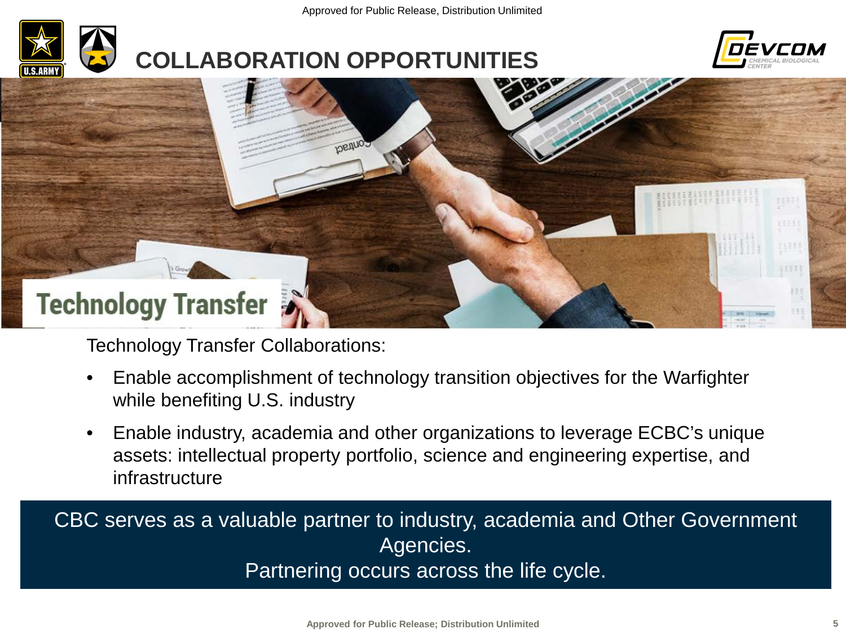# **COLLABORATION OPPORTUNITIES**





Technology Transfer Collaborations:

- Enable accomplishment of technology transition objectives for the Warfighter while benefiting U.S. industry
- Enable industry, academia and other organizations to leverage ECBC's unique assets: intellectual property portfolio, science and engineering expertise, and infrastructure

CBC serves as a valuable partner to industry, academia and Other Government Agencies.

Partnering occurs across the life cycle.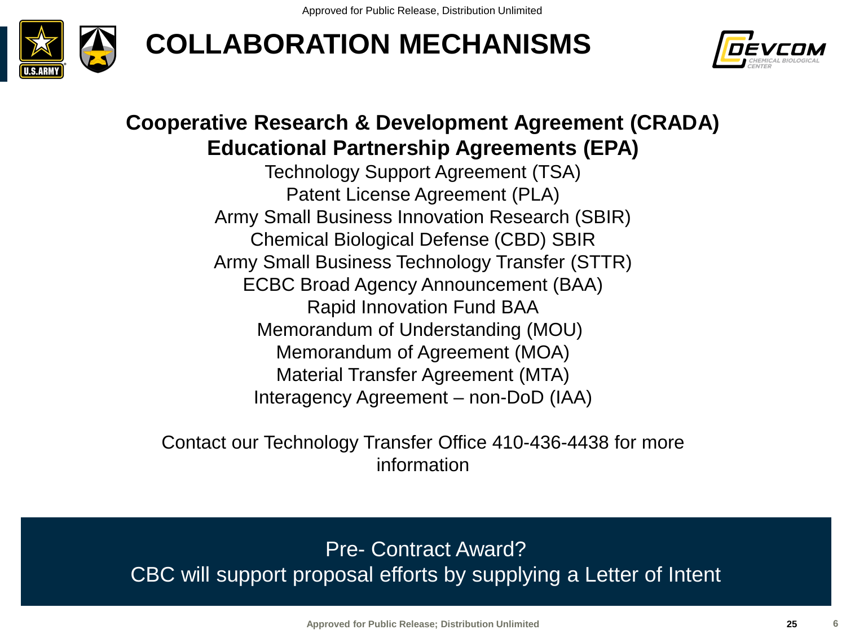





### **Cooperative Research & Development Agreement (CRADA) Educational Partnership Agreements (EPA)**

Technology Support Agreement (TSA) Patent License Agreement (PLA) Army Small Business Innovation Research (SBIR) Chemical Biological Defense (CBD) SBIR Army Small Business Technology Transfer (STTR) ECBC Broad Agency Announcement (BAA) Rapid Innovation Fund BAA Memorandum of Understanding (MOU)) Memorandum of Agreement (MOA) Material Transfer Agreement (MTA) Interagency Agreement – non-DoD (IAA)

Contact our Technology Transfer Office 410-436-4438 for more information

Pre- Contract Award? CBC will support proposal efforts by supplying a Letter of Intent